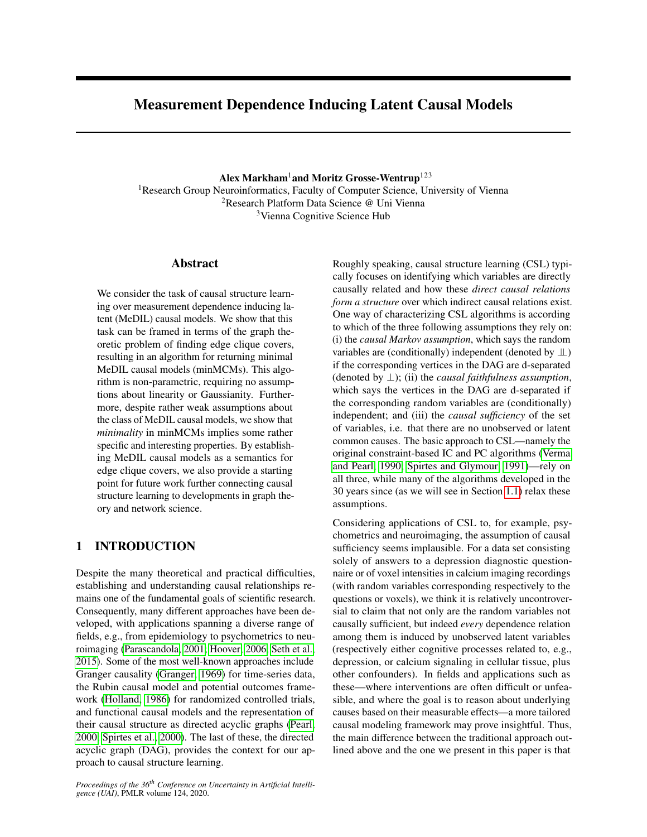# Measurement Dependence Inducing Latent Causal Models

Alex Markham<sup>1</sup> and Moritz Grosse-Wentrup<sup>123</sup>

<sup>1</sup>Research Group Neuroinformatics, Faculty of Computer Science, University of Vienna <sup>2</sup>Research Platform Data Science @ Uni Vienna <sup>3</sup>Vienna Cognitive Science Hub

## Abstract

We consider the task of causal structure learning over measurement dependence inducing latent (MeDIL) causal models. We show that this task can be framed in terms of the graph theoretic problem of finding edge clique covers, resulting in an algorithm for returning minimal MeDIL causal models (minMCMs). This algorithm is non-parametric, requiring no assumptions about linearity or Gaussianity. Furthermore, despite rather weak assumptions about the class of MeDIL causal models, we show that *minimality* in minMCMs implies some rather specific and interesting properties. By establishing MeDIL causal models as a semantics for edge clique covers, we also provide a starting point for future work further connecting causal structure learning to developments in graph theory and network science.

## 1 INTRODUCTION

Despite the many theoretical and practical difficulties, establishing and understanding causal relationships remains one of the fundamental goals of scientific research. Consequently, many different approaches have been developed, with applications spanning a diverse range of fields, e.g., from epidemiology to psychometrics to neuroimaging [\(Parascandola, 2001;](#page-9-0) [Hoover, 2006;](#page-9-1) [Seth et al.,](#page-9-2) [2015\)](#page-9-2). Some of the most well-known approaches include Granger causality [\(Granger, 1969\)](#page-9-3) for time-series data, the Rubin causal model and potential outcomes framework [\(Holland, 1986\)](#page-9-4) for randomized controlled trials, and functional causal models and the representation of their causal structure as directed acyclic graphs [\(Pearl,](#page-9-5) [2000;](#page-9-5) [Spirtes et al., 2000\)](#page-9-6). The last of these, the directed acyclic graph (DAG), provides the context for our approach to causal structure learning.

*Proceedings of the 36th Conference on Uncertainty in Artificial Intelligence (UAI)*, PMLR volume 124, 2020.

Roughly speaking, causal structure learning (CSL) typically focuses on identifying which variables are directly causally related and how these *direct causal relations form a structure* over which indirect causal relations exist. One way of characterizing CSL algorithms is according to which of the three following assumptions they rely on: (i) the *causal Markov assumption*, which says the random variables are (conditionally) independent (denoted by ⊥⊥) if the corresponding vertices in the DAG are d-separated (denoted by ⊥); (ii) the *causal faithfulness assumption*, which says the vertices in the DAG are d-separated if the corresponding random variables are (conditionally) independent; and (iii) the *causal sufficiency* of the set of variables, i.e. that there are no unobserved or latent common causes. The basic approach to CSL—namely the original constraint-based IC and PC algorithms [\(Verma](#page-9-7) [and Pearl, 1990;](#page-9-7) [Spirtes and Glymour, 1991\)](#page-9-8)—rely on all three, while many of the algorithms developed in the 30 years since (as we will see in Section [1.1\)](#page-1-0) relax these assumptions.

Considering applications of CSL to, for example, psychometrics and neuroimaging, the assumption of causal sufficiency seems implausible. For a data set consisting solely of answers to a depression diagnostic questionnaire or of voxel intensities in calcium imaging recordings (with random variables corresponding respectively to the questions or voxels), we think it is relatively uncontroversial to claim that not only are the random variables not causally sufficient, but indeed *every* dependence relation among them is induced by unobserved latent variables (respectively either cognitive processes related to, e.g., depression, or calcium signaling in cellular tissue, plus other confounders). In fields and applications such as these—where interventions are often difficult or unfeasible, and where the goal is to reason about underlying causes based on their measurable effects—a more tailored causal modeling framework may prove insightful. Thus, the main difference between the traditional approach outlined above and the one we present in this paper is that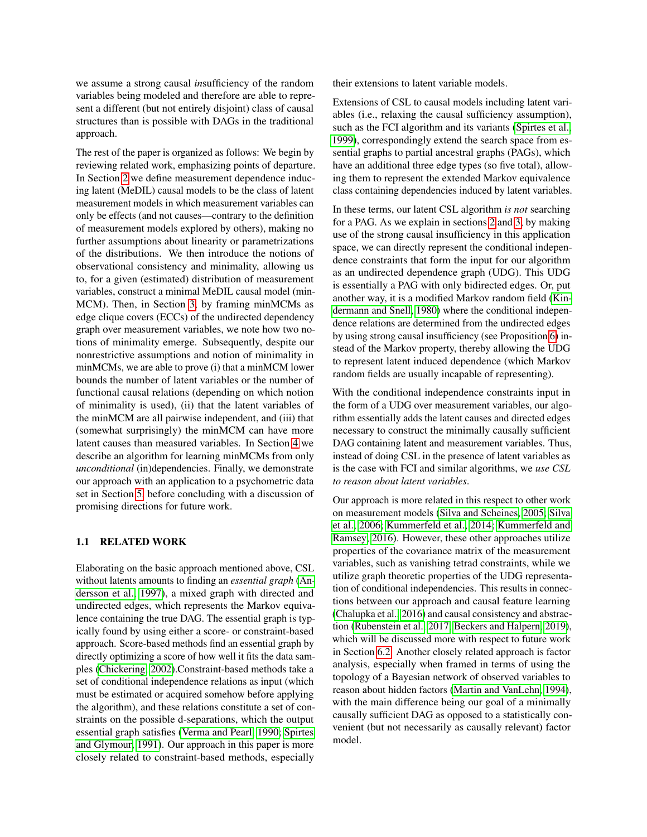we assume a strong causal *in*sufficiency of the random variables being modeled and therefore are able to represent a different (but not entirely disjoint) class of causal structures than is possible with DAGs in the traditional approach.

The rest of the paper is organized as follows: We begin by reviewing related work, emphasizing points of departure. In Section [2](#page-2-0) we define measurement dependence inducing latent (MeDIL) causal models to be the class of latent measurement models in which measurement variables can only be effects (and not causes—contrary to the definition of measurement models explored by others), making no further assumptions about linearity or parametrizations of the distributions. We then introduce the notions of observational consistency and minimality, allowing us to, for a given (estimated) distribution of measurement variables, construct a minimal MeDIL causal model (min-MCM). Then, in Section [3,](#page-3-0) by framing minMCMs as edge clique covers (ECCs) of the undirected dependency graph over measurement variables, we note how two notions of minimality emerge. Subsequently, despite our nonrestrictive assumptions and notion of minimality in minMCMs, we are able to prove (i) that a minMCM lower bounds the number of latent variables or the number of functional causal relations (depending on which notion of minimality is used), (ii) that the latent variables of the minMCM are all pairwise independent, and (iii) that (somewhat surprisingly) the minMCM can have more latent causes than measured variables. In Section [4](#page-5-0) we describe an algorithm for learning minMCMs from only *unconditional* (in)dependencies. Finally, we demonstrate our approach with an application to a psychometric data set in Section [5,](#page-6-0) before concluding with a discussion of promising directions for future work.

#### <span id="page-1-0"></span>1.1 RELATED WORK

Elaborating on the basic approach mentioned above, CSL without latents amounts to finding an *essential graph* [\(An](#page-8-0)[dersson et al., 1997\)](#page-8-0), a mixed graph with directed and undirected edges, which represents the Markov equivalence containing the true DAG. The essential graph is typically found by using either a score- or constraint-based approach. Score-based methods find an essential graph by directly optimizing a score of how well it fits the data samples [\(Chickering, 2002\)](#page-9-9).Constraint-based methods take a set of conditional independence relations as input (which must be estimated or acquired somehow before applying the algorithm), and these relations constitute a set of constraints on the possible d-separations, which the output essential graph satisfies [\(Verma and Pearl, 1990;](#page-9-7) [Spirtes](#page-9-8) [and Glymour, 1991\)](#page-9-8). Our approach in this paper is more closely related to constraint-based methods, especially

their extensions to latent variable models.

Extensions of CSL to causal models including latent variables (i.e., relaxing the causal sufficiency assumption), such as the FCI algorithm and its variants [\(Spirtes et al.,](#page-9-10) [1999\)](#page-9-10), correspondingly extend the search space from essential graphs to partial ancestral graphs (PAGs), which have an additional three edge types (so five total), allowing them to represent the extended Markov equivalence class containing dependencies induced by latent variables.

In these terms, our latent CSL algorithm *is not* searching for a PAG. As we explain in sections [2](#page-2-0) and [3,](#page-3-0) by making use of the strong causal insufficiency in this application space, we can directly represent the conditional independence constraints that form the input for our algorithm as an undirected dependence graph (UDG). This UDG is essentially a PAG with only bidirected edges. Or, put another way, it is a modified Markov random field [\(Kin](#page-9-11)[dermann and Snell, 1980\)](#page-9-11) where the conditional independence relations are determined from the undirected edges by using strong causal insufficiency (see Proposition [6\)](#page-3-1) instead of the Markov property, thereby allowing the UDG to represent latent induced dependence (which Markov random fields are usually incapable of representing).

With the conditional independence constraints input in the form of a UDG over measurement variables, our algorithm essentially adds the latent causes and directed edges necessary to construct the minimally causally sufficient DAG containing latent and measurement variables. Thus, instead of doing CSL in the presence of latent variables as is the case with FCI and similar algorithms, we *use CSL to reason about latent variables*.

Our approach is more related in this respect to other work on measurement models [\(Silva and Scheines, 2005;](#page-9-12) [Silva](#page-9-13) [et al., 2006;](#page-9-13) [Kummerfeld et al., 2014;](#page-9-14) [Kummerfeld and](#page-9-15) [Ramsey, 2016\)](#page-9-15). However, these other approaches utilize properties of the covariance matrix of the measurement variables, such as vanishing tetrad constraints, while we utilize graph theoretic properties of the UDG representation of conditional independencies. This results in connections between our approach and causal feature learning [\(Chalupka et al., 2016\)](#page-9-16) and causal consistency and abstraction [\(Rubenstein et al., 2017;](#page-9-17) [Beckers and Halpern, 2019\)](#page-8-1), which will be discussed more with respect to future work in Section [6.2.](#page-8-2) Another closely related approach is factor analysis, especially when framed in terms of using the topology of a Bayesian network of observed variables to reason about hidden factors [\(Martin and VanLehn, 1994\)](#page-9-18), with the main difference being our goal of a minimally causally sufficient DAG as opposed to a statistically convenient (but not necessarily as causally relevant) factor model.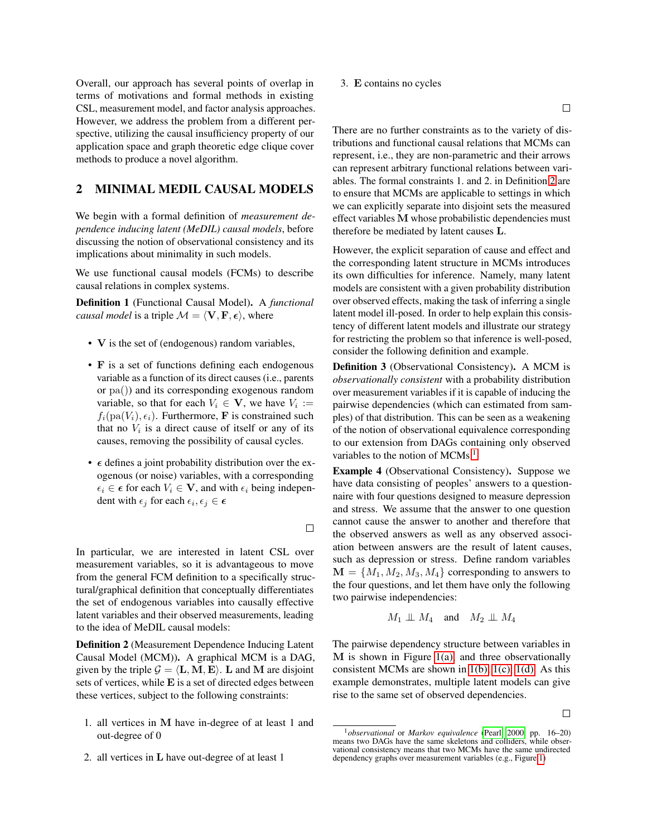Overall, our approach has several points of overlap in terms of motivations and formal methods in existing CSL, measurement model, and factor analysis approaches. However, we address the problem from a different perspective, utilizing the causal insufficiency property of our application space and graph theoretic edge clique cover methods to produce a novel algorithm.

## <span id="page-2-0"></span>2 MINIMAL MEDIL CAUSAL MODELS

We begin with a formal definition of *measurement dependence inducing latent (MeDIL) causal models*, before discussing the notion of observational consistency and its implications about minimality in such models.

We use functional causal models (FCMs) to describe causal relations in complex systems.

Definition 1 (Functional Causal Model). A *functional causal model* is a triple  $\mathcal{M} = \langle V, F, \epsilon \rangle$ , where

- V is the set of (endogenous) random variables,
- F is a set of functions defining each endogenous variable as a function of its direct causes (i.e., parents or pa()) and its corresponding exogenous random variable, so that for each  $V_i \in \mathbf{V}$ , we have  $V_i :=$  $f_i(\text{pa}(V_i), \epsilon_i)$ . Furthermore, **F** is constrained such that no  $V_i$  is a direct cause of itself or any of its causes, removing the possibility of causal cycles.
- $\epsilon$  defines a joint probability distribution over the exogenous (or noise) variables, with a corresponding  $\epsilon_i \in \epsilon$  for each  $V_i \in \mathbf{V}$ , and with  $\epsilon_i$  being independent with  $\epsilon_j$  for each  $\epsilon_i, \epsilon_j \in \epsilon$

 $\Box$ 

In particular, we are interested in latent CSL over measurement variables, so it is advantageous to move from the general FCM definition to a specifically structural/graphical definition that conceptually differentiates the set of endogenous variables into causally effective latent variables and their observed measurements, leading to the idea of MeDIL causal models:

<span id="page-2-1"></span>Definition 2 (Measurement Dependence Inducing Latent Causal Model (MCM)). A graphical MCM is a DAG, given by the triple  $G = \langle L, M, E \rangle$ . L and M are disjoint sets of vertices, while E is a set of directed edges between these vertices, subject to the following constraints:

- 1. all vertices in M have in-degree of at least 1 and out-degree of 0
- 2. all vertices in L have out-degree of at least 1

#### 3. E contains no cycles

 $\Box$ 

There are no further constraints as to the variety of distributions and functional causal relations that MCMs can represent, i.e., they are non-parametric and their arrows can represent arbitrary functional relations between variables. The formal constraints 1. and 2. in Definition [2](#page-2-1) are to ensure that MCMs are applicable to settings in which we can explicitly separate into disjoint sets the measured effect variables M whose probabilistic dependencies must therefore be mediated by latent causes L.

However, the explicit separation of cause and effect and the corresponding latent structure in MCMs introduces its own difficulties for inference. Namely, many latent models are consistent with a given probability distribution over observed effects, making the task of inferring a single latent model ill-posed. In order to help explain this consistency of different latent models and illustrate our strategy for restricting the problem so that inference is well-posed, consider the following definition and example.

Definition 3 (Observational Consistency). A MCM is *observationally consistent* with a probability distribution over measurement variables if it is capable of inducing the pairwise dependencies (which can estimated from samples) of that distribution. This can be seen as a weakening of the notion of observational equivalence corresponding to our extension from DAGs containing only observed variables to the notion of  $MCMs.<sup>1</sup>$  $MCMs.<sup>1</sup>$  $MCMs.<sup>1</sup>$ 

<span id="page-2-3"></span>Example 4 (Observational Consistency). Suppose we have data consisting of peoples' answers to a questionnaire with four questions designed to measure depression and stress. We assume that the answer to one question cannot cause the answer to another and therefore that the observed answers as well as any observed association between answers are the result of latent causes, such as depression or stress. Define random variables  $M = \{M_1, M_2, M_3, M_4\}$  corresponding to answers to the four questions, and let them have only the following two pairwise independencies:

$$
M_1 \perp\!\!\!\perp M_4 \quad \text{and} \quad M_2 \perp\!\!\!\perp M_4
$$

The pairwise dependency structure between variables in M is shown in Figure [1\(a\),](#page-3-2) and three observationally consistent MCMs are shown in [1\(b\), 1\(c\), 1\(d\).](#page-3-2) As this example demonstrates, multiple latent models can give rise to the same set of observed dependencies.

 $\Box$ 

<span id="page-2-2"></span><sup>1</sup>*observational* or *Markov equivalence* [\(Pearl, 2000,](#page-9-5) pp. 16–20) means two DAGs have the same skeletons and colliders, while observational consistency means that two MCMs have the same undirected dependency graphs over measurement variables (e.g., Figure [1\)](#page-3-2)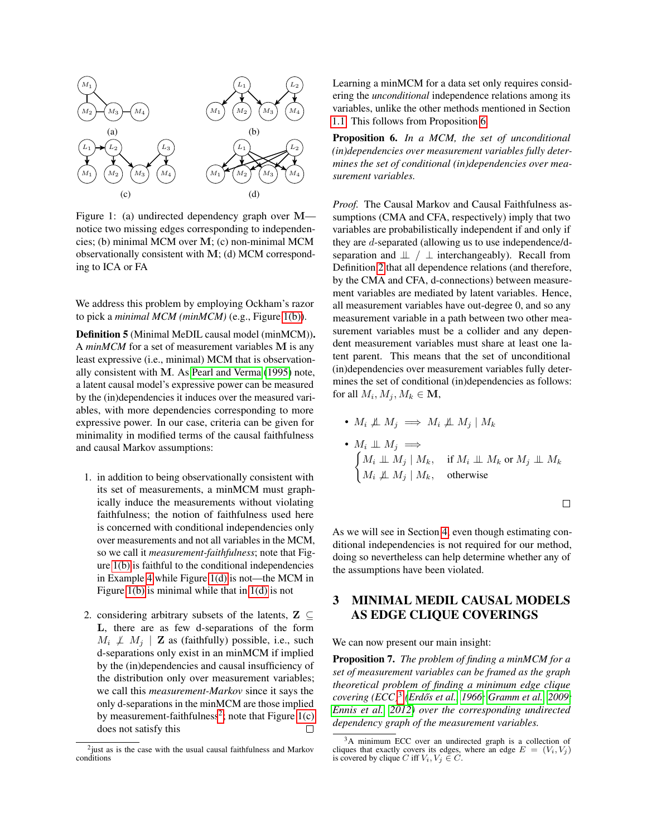<span id="page-3-2"></span>

Figure 1: (a) undirected dependency graph over M notice two missing edges corresponding to independencies; (b) minimal MCM over M; (c) non-minimal MCM observationally consistent with M; (d) MCM corresponding to ICA or FA

We address this problem by employing Ockham's razor to pick a *minimal MCM (minMCM)* (e.g., Figure [1\(b\)\)](#page-3-2).

<span id="page-3-5"></span>Definition 5 (Minimal MeDIL causal model (minMCM)). A *minMCM* for a set of measurement variables M is any least expressive (i.e., minimal) MCM that is observationally consistent with M. As [Pearl and Verma](#page-9-19) [\(1995\)](#page-9-19) note, a latent causal model's expressive power can be measured by the (in)dependencies it induces over the measured variables, with more dependencies corresponding to more expressive power. In our case, criteria can be given for minimality in modified terms of the causal faithfulness and causal Markov assumptions:

- 1. in addition to being observationally consistent with its set of measurements, a minMCM must graphically induce the measurements without violating faithfulness; the notion of faithfulness used here is concerned with conditional independencies only over measurements and not all variables in the MCM, so we call it *measurement-faithfulness*; note that Figure [1\(b\)](#page-3-2) is faithful to the conditional independencies in Example [4](#page-2-3) while Figure [1\(d\)](#page-3-2) is not—the MCM in Figure [1\(b\)](#page-3-2) is minimal while that in  $1(d)$  is not
- 2. considering arbitrary subsets of the latents,  $\mathbf{Z} \subseteq$ L, there are as few d-separations of the form  $M_i \not\perp M_j$  | **Z** as (faithfully) possible, i.e., such d-separations only exist in an minMCM if implied by the (in)dependencies and causal insufficiency of the distribution only over measurement variables; we call this *measurement-Markov* since it says the only d-separations in the minMCM are those implied by measurement-faithfulness<sup>[2](#page-3-3)</sup>; note that Figure  $1(c)$ does not satisfy this  $\Box$

Learning a minMCM for a data set only requires considering the *unconditional* independence relations among its variables, unlike the other methods mentioned in Section [1.1.](#page-1-0) This follows from Proposition [6.](#page-3-1)

<span id="page-3-1"></span>Proposition 6. *In a MCM, the set of unconditional (in)dependencies over measurement variables fully determines the set of conditional (in)dependencies over measurement variables.*

*Proof.* The Causal Markov and Causal Faithfulness assumptions (CMA and CFA, respectively) imply that two variables are probabilistically independent if and only if they are d-separated (allowing us to use independence/dseparation and  $\perp \perp$  interchangeably). Recall from Definition [2](#page-2-1) that all dependence relations (and therefore, by the CMA and CFA, d-connections) between measurement variables are mediated by latent variables. Hence, all measurement variables have out-degree 0, and so any measurement variable in a path between two other measurement variables must be a collider and any dependent measurement variables must share at least one latent parent. This means that the set of unconditional (in)dependencies over measurement variables fully determines the set of conditional (in)dependencies as follows: for all  $M_i, M_j, M_k \in \mathbf{M}$ ,

•  $M_i \not\perp\!\!\!\perp M_j \implies M_i \not\perp\!\!\!\perp M_j \mid M_k$ •  $M_i \perp\!\!\!\perp M_j \implies$  $\int M_i \perp\!\!\!\perp M_j \mid M_k$ , if  $M_i \perp\!\!\!\perp M_k$  or  $M_j \perp\!\!\!\perp M_k$ 

 $M_i \not\perp \!\!\! \perp M_j \mid M_k$ , otherwise

 $\Box$ 

As we will see in Section [4,](#page-5-0) even though estimating conditional independencies is not required for our method, doing so nevertheless can help determine whether any of the assumptions have been violated.

## <span id="page-3-0"></span>3 MINIMAL MEDIL CAUSAL MODELS AS EDGE CLIQUE COVERINGS

We can now present our main insight:

<span id="page-3-6"></span>Proposition 7. *The problem of finding a minMCM for a set of measurement variables can be framed as the graph theoretical problem of finding a minimum edge clique covering (ECC)*[3](#page-3-4) *[\(Erdos et al., 1966;](#page-9-20) [Gramm et al., 2009;](#page-9-21) ˝ [Ennis et al., 2012\)](#page-9-22) over the corresponding undirected dependency graph of the measurement variables.*

<span id="page-3-3"></span><sup>&</sup>lt;sup>2</sup> just as is the case with the usual causal faithfulness and Markov conditions

<span id="page-3-4"></span><sup>3</sup>A minimum ECC over an undirected graph is a collection of cliques that exactly covers its edges, where an edge  $E = (V_i, V_j)$  is covered by clique C iff  $V_i, V_j \in C$ .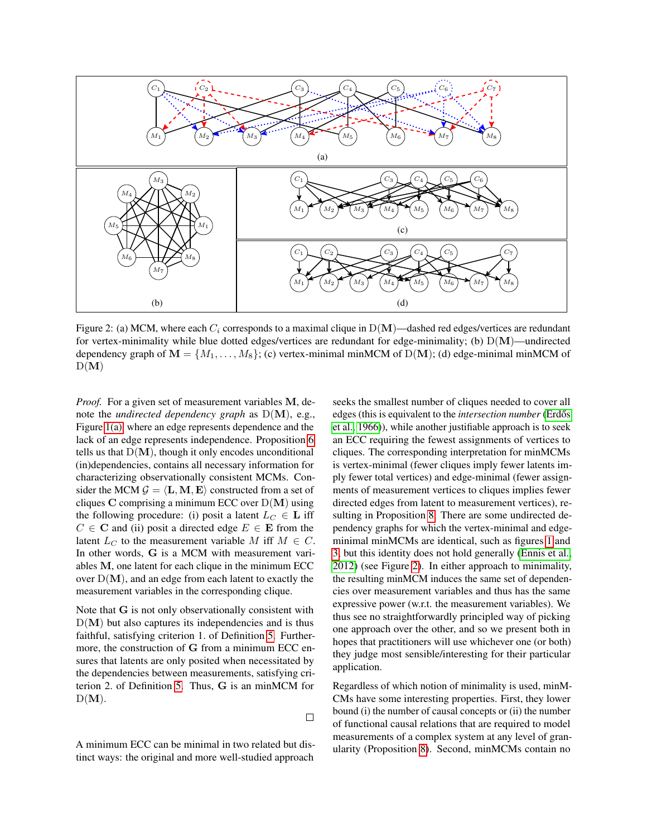<span id="page-4-0"></span>

Figure 2: (a) MCM, where each  $C_i$  corresponds to a maximal clique in  $D(M)$ —dashed red edges/vertices are redundant for vertex-minimality while blue dotted edges/vertices are redundant for edge-minimality; (b)  $D(M)$ —undirected dependency graph of  $M = \{M_1, \ldots, M_8\}$ ; (c) vertex-minimal minMCM of D(M); (d) edge-minimal minMCM of  $D(M)$ 

*Proof.* For a given set of measurement variables M, denote the *undirected dependency graph* as D(M), e.g., Figure [1\(a\),](#page-3-2) where an edge represents dependence and the lack of an edge represents independence. Proposition [6](#page-3-1) tells us that  $D(M)$ , though it only encodes unconditional (in)dependencies, contains all necessary information for characterizing observationally consistent MCMs. Consider the MCM  $\mathcal{G} = \langle L, M, E \rangle$  constructed from a set of cliques  $C$  comprising a minimum ECC over  $D(M)$  using the following procedure: (i) posit a latent  $L_C \in L$  iff  $C \in \mathbf{C}$  and (ii) posit a directed edge  $E \in \mathbf{E}$  from the latent  $L_C$  to the measurement variable M iff  $M \in C$ . In other words, G is a MCM with measurement variables M, one latent for each clique in the minimum ECC over  $D(M)$ , and an edge from each latent to exactly the measurement variables in the corresponding clique.

Note that G is not only observationally consistent with  $D(M)$  but also captures its independencies and is thus faithful, satisfying criterion 1. of Definition [5.](#page-3-5) Furthermore, the construction of G from a minimum ECC ensures that latents are only posited when necessitated by the dependencies between measurements, satisfying criterion 2. of Definition [5.](#page-3-5) Thus, G is an minMCM for  $D(M)$ .

 $\Box$ 

A minimum ECC can be minimal in two related but distinct ways: the original and more well-studied approach

seeks the smallest number of cliques needed to cover all edges (this is equivalent to the *intersection number* (Erdős [et al., 1966\)](#page-9-20)), while another justifiable approach is to seek an ECC requiring the fewest assignments of vertices to cliques. The corresponding interpretation for minMCMs is vertex-minimal (fewer cliques imply fewer latents imply fewer total vertices) and edge-minimal (fewer assignments of measurement vertices to cliques implies fewer directed edges from latent to measurement vertices), resulting in Proposition [8.](#page-5-1) There are some undirected dependency graphs for which the vertex-minimal and edgeminimal minMCMs are identical, such as figures [1](#page-3-2) and [3,](#page-5-2) but this identity does not hold generally [\(Ennis et al.,](#page-9-22) [2012\)](#page-9-22) (see Figure [2\)](#page-4-0). In either approach to minimality, the resulting minMCM induces the same set of dependencies over measurement variables and thus has the same expressive power (w.r.t. the measurement variables). We thus see no straightforwardly principled way of picking one approach over the other, and so we present both in hopes that practitioners will use whichever one (or both) they judge most sensible/interesting for their particular application.

Regardless of which notion of minimality is used, minM-CMs have some interesting properties. First, they lower bound (i) the number of causal concepts or (ii) the number of functional causal relations that are required to model measurements of a complex system at any level of granularity (Proposition [8\)](#page-5-1). Second, minMCMs contain no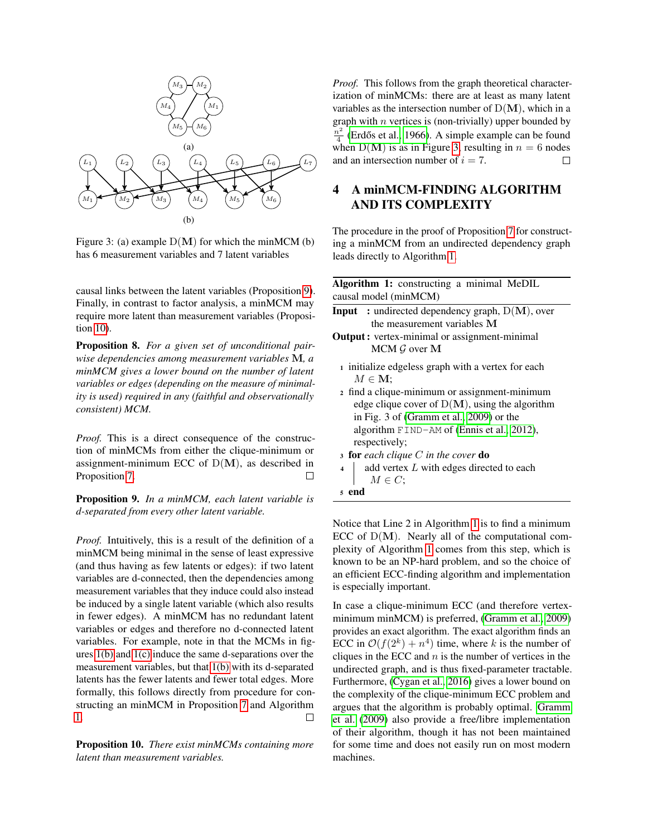<span id="page-5-2"></span>

Figure 3: (a) example  $D(M)$  for which the minMCM (b) has 6 measurement variables and 7 latent variables

causal links between the latent variables (Proposition [9\)](#page-5-3). Finally, in contrast to factor analysis, a minMCM may require more latent than measurement variables (Proposition [10\)](#page-5-4).

<span id="page-5-1"></span>Proposition 8. *For a given set of unconditional pairwise dependencies among measurement variables* M*, a minMCM gives a lower bound on the number of latent variables or edges (depending on the measure of minimality is used) required in any (faithful and observationally consistent) MCM.*

*Proof.* This is a direct consequence of the construction of minMCMs from either the clique-minimum or assignment-minimum ECC of  $D(M)$ , as described in Proposition [7.](#page-3-6)  $\Box$ 

<span id="page-5-3"></span>Proposition 9. *In a minMCM, each latent variable is d-separated from every other latent variable.*

*Proof.* Intuitively, this is a result of the definition of a minMCM being minimal in the sense of least expressive (and thus having as few latents or edges): if two latent variables are d-connected, then the dependencies among measurement variables that they induce could also instead be induced by a single latent variable (which also results in fewer edges). A minMCM has no redundant latent variables or edges and therefore no d-connected latent variables. For example, note in that the MCMs in figures [1\(b\)](#page-3-2) and [1\(c\)](#page-3-2) induce the same d-separations over the measurement variables, but that [1\(b\)](#page-3-2) with its d-separated latents has the fewer latents and fewer total edges. More formally, this follows directly from procedure for constructing an minMCM in Proposition [7](#page-3-6) and Algorithm [1.](#page-5-5)  $\Box$ 

<span id="page-5-4"></span>Proposition 10. *There exist minMCMs containing more latent than measurement variables.*

*Proof.* This follows from the graph theoretical characterization of minMCMs: there are at least as many latent variables as the intersection number of  $D(M)$ , which in a graph with  $n$  vertices is (non-trivially) upper bounded by  $n^2$  $\frac{d^2}{4}$  (Erdős et al., 1966). A simple example can be found when  $D(M)$  is as in Figure [3,](#page-5-2) resulting in  $n = 6$  nodes and an intersection number of  $i = 7$ .  $\Box$ 

## <span id="page-5-0"></span>4 A minMCM-FINDING ALGORITHM AND ITS COMPLEXITY

The procedure in the proof of Proposition [7](#page-3-6) for constructing a minMCM from an undirected dependency graph leads directly to Algorithm [1.](#page-5-5)

| Algorithm 1: constructing a minimal MeDIL<br>causal model (minMCM)                                                                             |
|------------------------------------------------------------------------------------------------------------------------------------------------|
| <b>Input</b> : undirected dependency graph, $D(M)$ , over<br>the measurement variables M                                                       |
| <b>Output</b> : vertex-minimal or assignment-minimal<br>$MCM$ G over M                                                                         |
| 1 initialize edgeless graph with a vertex for each<br>$M \in \mathbf{M}$ ;                                                                     |
| 2 find a clique-minimum or assignment-minimum<br>edge clique cover of $D(M)$ , using the algorithm<br>in Fig. 3 of (Gramm et al., 2009) or the |
| algorithm $FIND-AM$ of (Ennis et al., 2012),<br>respectively;                                                                                  |
| <b>3 for</b> each clique C in the cover <b>do</b>                                                                                              |
| add vertex L with edges directed to each<br>$\overline{\mathbf{A}}$<br>$M \in C$ :                                                             |
| <sub>5</sub> end                                                                                                                               |
|                                                                                                                                                |

<span id="page-5-5"></span>Notice that Line 2 in Algorithm [1](#page-5-5) is to find a minimum ECC of  $D(M)$ . Nearly all of the computational complexity of Algorithm [1](#page-5-5) comes from this step, which is known to be an NP-hard problem, and so the choice of an efficient ECC-finding algorithm and implementation is especially important.

In case a clique-minimum ECC (and therefore vertexminimum minMCM) is preferred, [\(Gramm et al., 2009\)](#page-9-21) provides an exact algorithm. The exact algorithm finds an ECC in  $\mathcal{O}(f(2^k) + n^4)$  time, where k is the number of cliques in the ECC and  $n$  is the number of vertices in the undirected graph, and is thus fixed-parameter tractable. Furthermore, [\(Cygan et al., 2016\)](#page-9-23) gives a lower bound on the complexity of the clique-minimum ECC problem and argues that the algorithm is probably optimal. [Gramm](#page-9-21) [et al.](#page-9-21) [\(2009\)](#page-9-21) also provide a free/libre implementation of their algorithm, though it has not been maintained for some time and does not easily run on most modern machines.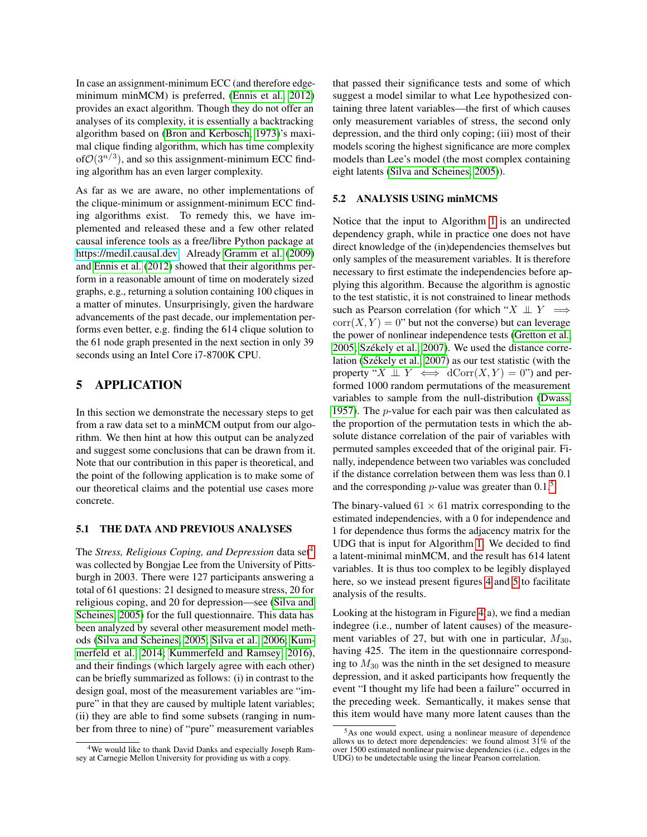In case an assignment-minimum ECC (and therefore edgeminimum minMCM) is preferred, [\(Ennis et al., 2012\)](#page-9-22) provides an exact algorithm. Though they do not offer an analyses of its complexity, it is essentially a backtracking algorithm based on [\(Bron and Kerbosch, 1973\)](#page-8-3)'s maximal clique finding algorithm, which has time complexity of  $\mathcal{O}(3^{n/3})$ , and so this assignment-minimum ECC finding algorithm has an even larger complexity.

As far as we are aware, no other implementations of the clique-minimum or assignment-minimum ECC finding algorithms exist. To remedy this, we have implemented and released these and a few other related causal inference tools as a free/libre Python package at [https://medil.causal.dev.](https://medil.causal.dev) Already [Gramm et al.](#page-9-21) [\(2009\)](#page-9-21) and [Ennis et al.](#page-9-22) [\(2012\)](#page-9-22) showed that their algorithms perform in a reasonable amount of time on moderately sized graphs, e.g., returning a solution containing 100 cliques in a matter of minutes. Unsurprisingly, given the hardware advancements of the past decade, our implementation performs even better, e.g. finding the 614 clique solution to the 61 node graph presented in the next section in only 39 seconds using an Intel Core i7-8700K CPU.

## <span id="page-6-0"></span>5 APPLICATION

In this section we demonstrate the necessary steps to get from a raw data set to a minMCM output from our algorithm. We then hint at how this output can be analyzed and suggest some conclusions that can be drawn from it. Note that our contribution in this paper is theoretical, and the point of the following application is to make some of our theoretical claims and the potential use cases more concrete.

#### <span id="page-6-3"></span>5.1 THE DATA AND PREVIOUS ANALYSES

The *Stress, Religious Coping, and Depression* data set<sup>[4](#page-6-1)</sup> was collected by Bongjae Lee from the University of Pittsburgh in 2003. There were 127 participants answering a total of 61 questions: 21 designed to measure stress, 20 for religious coping, and 20 for depression—see [\(Silva and](#page-9-12) [Scheines, 2005\)](#page-9-12) for the full questionnaire. This data has been analyzed by several other measurement model methods [\(Silva and Scheines, 2005;](#page-9-12) [Silva et al., 2006;](#page-9-13) [Kum](#page-9-14)[merfeld et al., 2014;](#page-9-14) [Kummerfeld and Ramsey, 2016\)](#page-9-15), and their findings (which largely agree with each other) can be briefly summarized as follows: (i) in contrast to the design goal, most of the measurement variables are "impure" in that they are caused by multiple latent variables; (ii) they are able to find some subsets (ranging in number from three to nine) of "pure" measurement variables

that passed their significance tests and some of which suggest a model similar to what Lee hypothesized containing three latent variables—the first of which causes only measurement variables of stress, the second only depression, and the third only coping; (iii) most of their models scoring the highest significance are more complex models than Lee's model (the most complex containing eight latents [\(Silva and Scheines, 2005\)](#page-9-12)).

#### 5.2 ANALYSIS USING minMCMS

Notice that the input to Algorithm [1](#page-5-5) is an undirected dependency graph, while in practice one does not have direct knowledge of the (in)dependencies themselves but only samples of the measurement variables. It is therefore necessary to first estimate the independencies before applying this algorithm. Because the algorithm is agnostic to the test statistic, it is not constrained to linear methods such as Pearson correlation (for which " $X \perp Y \implies$  $corr(X, Y) = 0$ " but not the converse) but can leverage the power of nonlinear independence tests [\(Gretton et al.,](#page-9-24) [2005;](#page-9-24) Székely et al., 2007). We used the distance correlation (Székely et al., 2007) as our test statistic (with the property " $X \perp Y \iff dCorr(X, Y) = 0$ ") and performed 1000 random permutations of the measurement variables to sample from the null-distribution [\(Dwass,](#page-9-26) [1957\)](#page-9-26). The p-value for each pair was then calculated as the proportion of the permutation tests in which the absolute distance correlation of the pair of variables with permuted samples exceeded that of the original pair. Finally, independence between two variables was concluded if the distance correlation between them was less than 0.1 and the corresponding *p*-value was greater than  $0.1<sup>5</sup>$  $0.1<sup>5</sup>$  $0.1<sup>5</sup>$ 

The binary-valued  $61 \times 61$  matrix corresponding to the estimated independencies, with a 0 for independence and 1 for dependence thus forms the adjacency matrix for the UDG that is input for Algorithm [1.](#page-5-5) We decided to find a latent-minimal minMCM, and the result has 614 latent variables. It is thus too complex to be legibly displayed here, so we instead present figures [4](#page-7-0) and [5](#page-7-1) to facilitate analysis of the results.

Looking at the histogram in Figure  $4(a)$ , we find a median indegree (i.e., number of latent causes) of the measurement variables of 27, but with one in particular,  $M_{30}$ , having 425. The item in the questionnaire corresponding to  $M_{30}$  was the ninth in the set designed to measure depression, and it asked participants how frequently the event "I thought my life had been a failure" occurred in the preceding week. Semantically, it makes sense that this item would have many more latent causes than the

<span id="page-6-1"></span><sup>4</sup>We would like to thank David Danks and especially Joseph Ramsey at Carnegie Mellon University for providing us with a copy.

<span id="page-6-2"></span><sup>5</sup>As one would expect, using a nonlinear measure of dependence allows us to detect more dependencies: we found almost  $31\%$  of the over 1500 estimated nonlinear pairwise dependencies (i.e., edges in the UDG) to be undetectable using the linear Pearson correlation.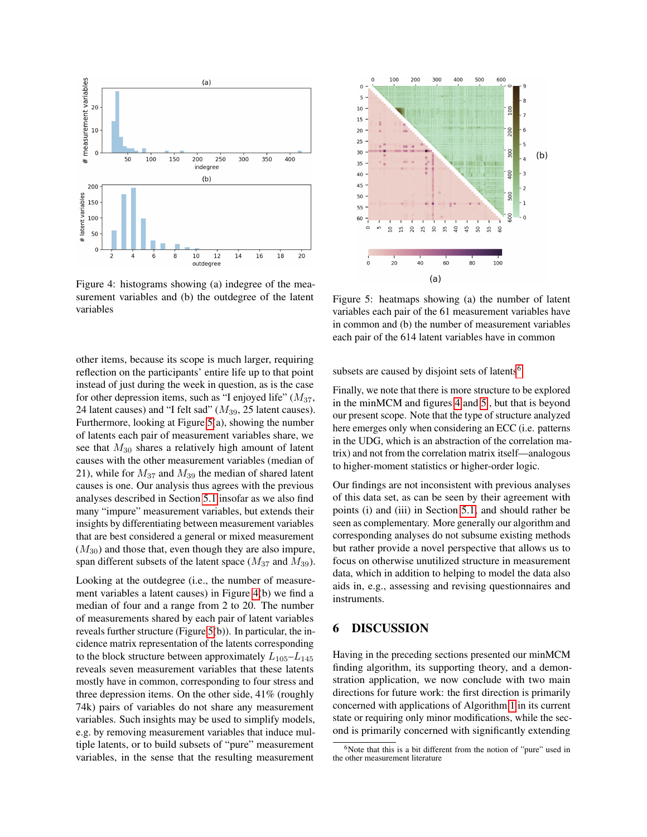<span id="page-7-0"></span>

Figure 4: histograms showing (a) indegree of the measurement variables and (b) the outdegree of the latent variables

other items, because its scope is much larger, requiring reflection on the participants' entire life up to that point instead of just during the week in question, as is the case for other depression items, such as "I enjoyed life"  $(M_{37},$ 24 latent causes) and "I felt sad"  $(M_{39}, 25$  latent causes). Furthermore, looking at Figure [5\(](#page-7-1)a), showing the number of latents each pair of measurement variables share, we see that  $M_{30}$  shares a relatively high amount of latent causes with the other measurement variables (median of 21), while for  $M_{37}$  and  $M_{39}$  the median of shared latent causes is one. Our analysis thus agrees with the previous analyses described in Section [5.1](#page-6-3) insofar as we also find many "impure" measurement variables, but extends their insights by differentiating between measurement variables that are best considered a general or mixed measurement  $(M_{30})$  and those that, even though they are also impure, span different subsets of the latent space ( $M_{37}$  and  $M_{39}$ ).

Looking at the outdegree (i.e., the number of measurement variables a latent causes) in Figure [4\(](#page-7-0)b) we find a median of four and a range from 2 to 20. The number of measurements shared by each pair of latent variables reveals further structure (Figure [5\(](#page-7-1)b)). In particular, the incidence matrix representation of the latents corresponding to the block structure between approximately  $L_{105}-L_{145}$ reveals seven measurement variables that these latents mostly have in common, corresponding to four stress and three depression items. On the other side, 41% (roughly 74k) pairs of variables do not share any measurement variables. Such insights may be used to simplify models, e.g. by removing measurement variables that induce multiple latents, or to build subsets of "pure" measurement variables, in the sense that the resulting measurement

<span id="page-7-1"></span>

Figure 5: heatmaps showing (a) the number of latent variables each pair of the 61 measurement variables have in common and (b) the number of measurement variables each pair of the 614 latent variables have in common

subsets are caused by disjoint sets of latents<sup>[6](#page-7-2)</sup>.

Finally, we note that there is more structure to be explored in the minMCM and figures [4](#page-7-0) and [5](#page-7-1) , but that is beyond our present scope. Note that the type of structure analyzed here emerges only when considering an ECC (i.e. patterns in the UDG, which is an abstraction of the correlation matrix) and not from the correlation matrix itself—analogous to higher-moment statistics or higher-order logic.

Our findings are not inconsistent with previous analyses of this data set, as can be seen by their agreement with points (i) and (iii) in Section [5.1,](#page-6-3) and should rather be seen as complementary. More generally our algorithm and corresponding analyses do not subsume existing methods but rather provide a novel perspective that allows us to focus on otherwise unutilized structure in measurement data, which in addition to helping to model the data also aids in, e.g., assessing and revising questionnaires and instruments.

## 6 DISCUSSION

Having in the preceding sections presented our minMCM finding algorithm, its supporting theory, and a demonstration application, we now conclude with two main directions for future work: the first direction is primarily concerned with applications of Algorithm [1](#page-5-5) in its current state or requiring only minor modifications, while the second is primarily concerned with significantly extending

<span id="page-7-2"></span><sup>&</sup>lt;sup>6</sup>Note that this is a bit different from the notion of "pure" used in the other measurement literature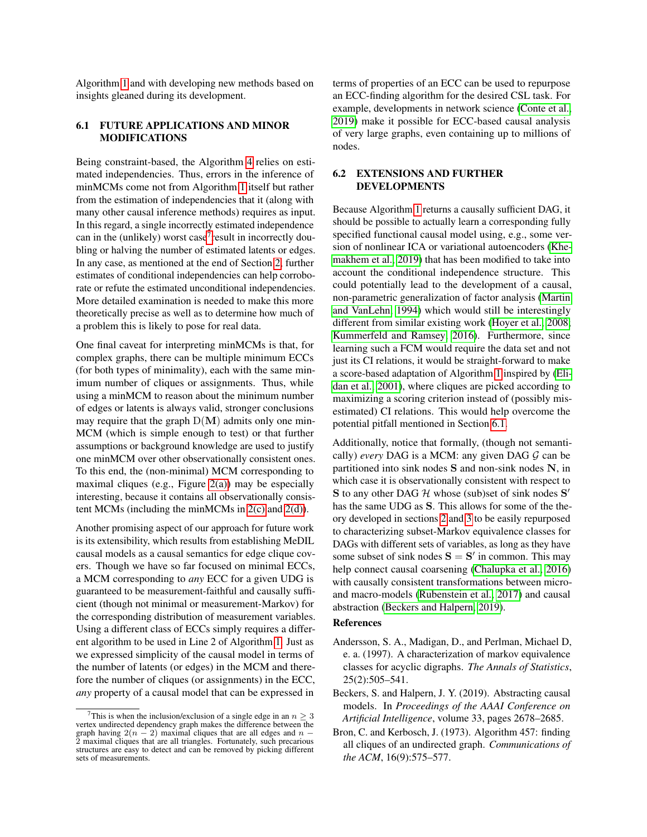Algorithm [1](#page-5-5) and with developing new methods based on insights gleaned during its development.

#### <span id="page-8-5"></span>6.1 FUTURE APPLICATIONS AND MINOR MODIFICATIONS

Being constraint-based, the Algorithm [4](#page-5-0) relies on estimated independencies. Thus, errors in the inference of minMCMs come not from Algorithm [1](#page-5-5) itself but rather from the estimation of independencies that it (along with many other causal inference methods) requires as input. In this regard, a single incorrectly estimated independence can in the (unlikely) worst case<sup>[7](#page-8-4)</sup> result in incorrectly doubling or halving the number of estimated latents or edges. In any case, as mentioned at the end of Section [2,](#page-2-0) further estimates of conditional independencies can help corroborate or refute the estimated unconditional independencies. More detailed examination is needed to make this more theoretically precise as well as to determine how much of a problem this is likely to pose for real data.

One final caveat for interpreting minMCMs is that, for complex graphs, there can be multiple minimum ECCs (for both types of minimality), each with the same minimum number of cliques or assignments. Thus, while using a minMCM to reason about the minimum number of edges or latents is always valid, stronger conclusions may require that the graph  $D(M)$  admits only one min-MCM (which is simple enough to test) or that further assumptions or background knowledge are used to justify one minMCM over other observationally consistent ones. To this end, the (non-minimal) MCM corresponding to maximal cliques (e.g., Figure  $2(a)$ ) may be especially interesting, because it contains all observationally consistent MCMs (including the minMCMs in  $2(c)$  and  $2(d)$ ).

Another promising aspect of our approach for future work is its extensibility, which results from establishing MeDIL causal models as a causal semantics for edge clique covers. Though we have so far focused on minimal ECCs, a MCM corresponding to *any* ECC for a given UDG is guaranteed to be measurement-faithful and causally sufficient (though not minimal or measurement-Markov) for the corresponding distribution of measurement variables. Using a different class of ECCs simply requires a different algorithm to be used in Line 2 of Algorithm [1.](#page-5-5) Just as we expressed simplicity of the causal model in terms of the number of latents (or edges) in the MCM and therefore the number of cliques (or assignments) in the ECC, *any* property of a causal model that can be expressed in

terms of properties of an ECC can be used to repurpose an ECC-finding algorithm for the desired CSL task. For example, developments in network science [\(Conte et al.,](#page-9-27) [2019\)](#page-9-27) make it possible for ECC-based causal analysis of very large graphs, even containing up to millions of nodes.

#### <span id="page-8-2"></span>6.2 EXTENSIONS AND FURTHER DEVELOPMENTS

Because Algorithm [1](#page-5-5) returns a causally sufficient DAG, it should be possible to actually learn a corresponding fully specified functional causal model using, e.g., some version of nonlinear ICA or variational autoencoders [\(Khe](#page-9-28)[makhem et al., 2019\)](#page-9-28) that has been modified to take into account the conditional independence structure. This could potentially lead to the development of a causal, non-parametric generalization of factor analysis [\(Martin](#page-9-18) [and VanLehn, 1994\)](#page-9-18) which would still be interestingly different from similar existing work [\(Hoyer et al., 2008;](#page-9-29) [Kummerfeld and Ramsey, 2016\)](#page-9-15). Furthermore, since learning such a FCM would require the data set and not just its CI relations, it would be straight-forward to make a score-based adaptation of Algorithm [1](#page-5-5) inspired by [\(Eli](#page-9-30)[dan et al., 2001\)](#page-9-30), where cliques are picked according to maximizing a scoring criterion instead of (possibly misestimated) CI relations. This would help overcome the potential pitfall mentioned in Section [6.1.](#page-8-5)

Additionally, notice that formally, (though not semantically) *every* DAG is a MCM: any given DAG  $G$  can be partitioned into sink nodes S and non-sink nodes N, in which case it is observationally consistent with respect to  $S$  to any other DAG  $H$  whose (sub)set of sink nodes  $S'$ has the same UDG as S. This allows for some of the theory developed in sections [2](#page-2-0) and [3](#page-3-0) to be easily repurposed to characterizing subset-Markov equivalence classes for DAGs with different sets of variables, as long as they have some subset of sink nodes  $S = S'$  in common. This may help connect causal coarsening [\(Chalupka et al., 2016\)](#page-9-16) with causally consistent transformations between microand macro-models [\(Rubenstein et al., 2017\)](#page-9-17) and causal abstraction [\(Beckers and Halpern, 2019\)](#page-8-1).

#### References

- <span id="page-8-0"></span>Andersson, S. A., Madigan, D., and Perlman, Michael D, e. a. (1997). A characterization of markov equivalence classes for acyclic digraphs. *The Annals of Statistics*, 25(2):505–541.
- <span id="page-8-1"></span>Beckers, S. and Halpern, J. Y. (2019). Abstracting causal models. In *Proceedings of the AAAI Conference on Artificial Intelligence*, volume 33, pages 2678–2685.
- <span id="page-8-3"></span>Bron, C. and Kerbosch, J. (1973). Algorithm 457: finding all cliques of an undirected graph. *Communications of the ACM*, 16(9):575–577.

<span id="page-8-4"></span><sup>&</sup>lt;sup>7</sup>This is when the inclusion/exclusion of a single edge in an  $n \geq 3$ vertex undirected dependency graph makes the difference between the graph having  $2(n - 2)$  maximal cliques that are all edges and  $n - 2$  maximal cliques that are all triangles. Fortunately, such precarious structures are easy to detect and can be removed by picking different sets of measurements.